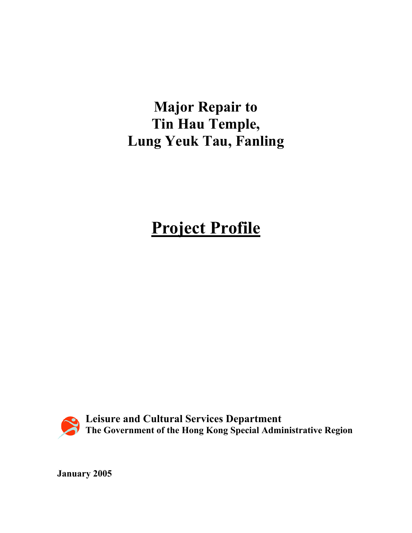**Major Repair to Tin Hau Temple, Lung Yeuk Tau, Fanling** 

# **Project Profile**



**January 2005**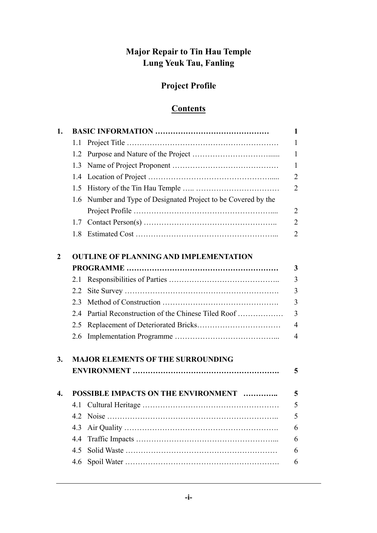# **Major Repair to Tin Hau Temple Lung Yeuk Tau, Fanling**

# **Project Profile**

## **Contents**

| 1.               |     |                                                            |                |  |  |  |
|------------------|-----|------------------------------------------------------------|----------------|--|--|--|
|                  | 1.1 |                                                            | $\mathbf{1}$   |  |  |  |
|                  | 1.2 |                                                            | $\mathbf{1}$   |  |  |  |
|                  | 1.3 |                                                            | $\mathbf{1}$   |  |  |  |
|                  | 1.4 |                                                            | $\overline{2}$ |  |  |  |
|                  | 1.5 |                                                            | $\overline{2}$ |  |  |  |
|                  | 1.6 | Number and Type of Designated Project to be Covered by the |                |  |  |  |
|                  |     |                                                            | $\overline{2}$ |  |  |  |
|                  |     |                                                            | $\overline{2}$ |  |  |  |
|                  | 1.8 |                                                            | $\overline{2}$ |  |  |  |
| $\boldsymbol{2}$ |     | <b>OUTLINE OF PLANNING AND IMPLEMENTATION</b>              |                |  |  |  |
|                  |     | $\mathbf{3}$                                               |                |  |  |  |
|                  | 2.1 |                                                            | 3              |  |  |  |
|                  | 2.2 |                                                            | $\overline{3}$ |  |  |  |
|                  | 2.3 |                                                            | $\overline{3}$ |  |  |  |
|                  | 24  | Partial Reconstruction of the Chinese Tiled Roof           | $\overline{3}$ |  |  |  |
|                  | 2.5 |                                                            | $\overline{4}$ |  |  |  |
|                  | 2.6 |                                                            | $\overline{4}$ |  |  |  |
| 3.               |     | <b>MAJOR ELEMENTS OF THE SURROUNDING</b>                   |                |  |  |  |
|                  |     |                                                            | 5              |  |  |  |
|                  |     |                                                            |                |  |  |  |
| 4.               |     | POSSIBLE IMPACTS ON THE ENVIRONMENT                        | 5              |  |  |  |
|                  |     |                                                            | 5              |  |  |  |
|                  | 4.2 |                                                            | 5              |  |  |  |
|                  | 4.3 |                                                            | 6              |  |  |  |
|                  | 4.4 |                                                            | 6              |  |  |  |
|                  | 4.5 |                                                            | 6              |  |  |  |
|                  | 4.6 |                                                            | 6              |  |  |  |
|                  |     |                                                            |                |  |  |  |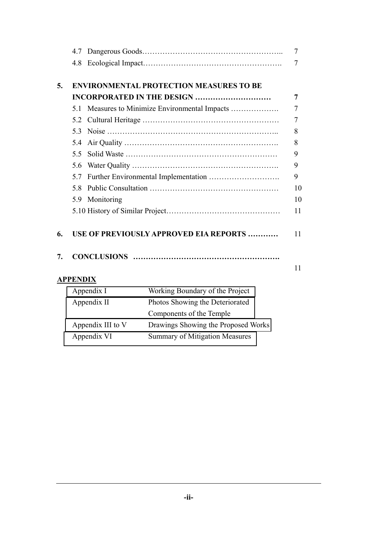|    | 4.7                                |                                                | 7  |  |  |
|----|------------------------------------|------------------------------------------------|----|--|--|
|    | 4.8                                |                                                | 7  |  |  |
| 5. |                                    | <b>ENVIRONMENTAL PROTECTION MEASURES TO BE</b> |    |  |  |
|    | <b>INCORPORATED IN THE DESIGN </b> |                                                |    |  |  |
|    | 5.1                                | Measures to Minimize Environmental Impacts     | 7  |  |  |
|    | 5.2                                |                                                |    |  |  |
|    | 5.3                                |                                                |    |  |  |
|    | 5.4                                |                                                |    |  |  |
|    | 5.5                                |                                                |    |  |  |
|    | 5.6                                |                                                |    |  |  |
|    | 5.7                                |                                                |    |  |  |
|    | 5.8<br>5.9 Monitoring              |                                                |    |  |  |
|    |                                    |                                                |    |  |  |
|    |                                    |                                                |    |  |  |
| 6. |                                    | USE OF PREVIOUSLY APPROVED EIA REPORTS         | 11 |  |  |
| 7. |                                    |                                                | 11 |  |  |
|    | <b>APPENDIX</b>                    |                                                |    |  |  |
|    | Appendix I                         | Working Boundary of the Project                |    |  |  |
|    | Appendix II                        | Photos Showing the Deteriorated                |    |  |  |
|    |                                    | Components of the Temple                       |    |  |  |
|    | Appendix III to V                  | Drawings Showing the Proposed Works            |    |  |  |
|    | Appendix VI                        | <b>Summary of Mitigation Measures</b>          |    |  |  |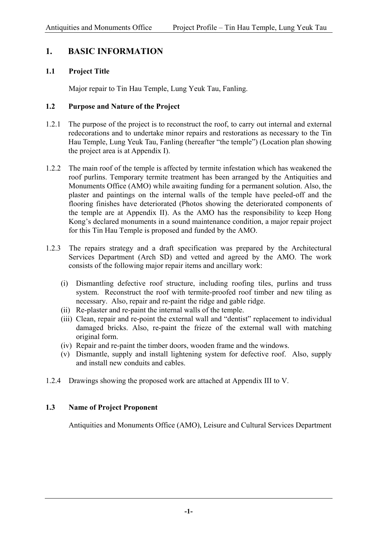## **1. BASIC INFORMATION**

#### **1.1 Project Title**

Major repair to Tin Hau Temple, Lung Yeuk Tau, Fanling.

#### **1.2 Purpose and Nature of the Project**

- 1.2.1 The purpose of the project is to reconstruct the roof, to carry out internal and external redecorations and to undertake minor repairs and restorations as necessary to the Tin Hau Temple, Lung Yeuk Tau, Fanling (hereafter "the temple") (Location plan showing the project area is at Appendix I).
- 1.2.2 The main roof of the temple is affected by termite infestation which has weakened the roof purlins. Temporary termite treatment has been arranged by the Antiquities and Monuments Office (AMO) while awaiting funding for a permanent solution. Also, the plaster and paintings on the internal walls of the temple have peeled-off and the flooring finishes have deteriorated (Photos showing the deteriorated components of the temple are at Appendix II). As the AMO has the responsibility to keep Hong Kong's declared monuments in a sound maintenance condition, a major repair project for this Tin Hau Temple is proposed and funded by the AMO.
- 1.2.3 The repairs strategy and a draft specification was prepared by the Architectural Services Department (Arch SD) and vetted and agreed by the AMO. The work consists of the following major repair items and ancillary work:
	- (i) Dismantling defective roof structure, including roofing tiles, purlins and truss system. Reconstruct the roof with termite-proofed roof timber and new tiling as necessary. Also, repair and re-paint the ridge and gable ridge.
	- (ii) Re-plaster and re-paint the internal walls of the temple.
	- (iii) Clean, repair and re-point the external wall and "dentist" replacement to individual damaged bricks. Also, re-paint the frieze of the external wall with matching original form.
	- (iv) Repair and re-paint the timber doors, wooden frame and the windows.
	- (v) Dismantle, supply and install lightening system for defective roof. Also, supply and install new conduits and cables.
- 1.2.4 Drawings showing the proposed work are attached at Appendix III to V.

#### **1.3 Name of Project Proponent**

Antiquities and Monuments Office (AMO), Leisure and Cultural Services Department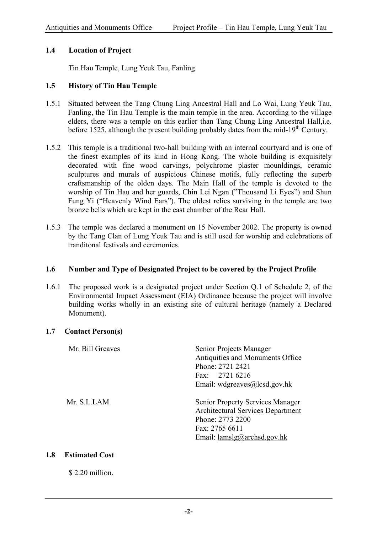#### **1.4 Location of Project**

Tin Hau Temple, Lung Yeuk Tau, Fanling.

#### **1.5 History of Tin Hau Temple**

- 1.5.1 Situated between the Tang Chung Ling Ancestral Hall and Lo Wai, Lung Yeuk Tau, Fanling, the Tin Hau Temple is the main temple in the area. According to the village elders, there was a temple on this earlier than Tang Chung Ling Ancestral Hall,i.e. before 1525, although the present building probably dates from the mid-19<sup>th</sup> Century.
- 1.5.2 This temple is a traditional two-hall building with an internal courtyard and is one of the finest examples of its kind in Hong Kong. The whole building is exquisitely decorated with fine wood carvings, polychrome plaster mounldings, ceramic sculptures and murals of auspicious Chinese motifs, fully reflecting the superb craftsmanship of the olden days. The Main Hall of the temple is devoted to the worship of Tin Hau and her guards, Chin Lei Ngan ("Thousand Li Eyes") and Shun Fung Yi ("Heavenly Wind Ears"). The oldest relics surviving in the temple are two bronze bells which are kept in the east chamber of the Rear Hall.
- 1.5.3 The temple was declared a monument on 15 November 2002. The property is owned by the Tang Clan of Lung Yeuk Tau and is still used for worship and celebrations of tranditonal festivals and ceremonies.

#### **1.6 Number and Type of Designated Project to be covered by the Project Profile**

1.6.1 The proposed work is a designated project under Section Q.1 of Schedule 2, of the Environmental Impact Assessment (EIA) Ordinance because the project will involve building works wholly in an existing site of cultural heritage (namely a Declared Monument).

#### **1.7 Contact Person(s)**

| Mr. Bill Greaves | Senior Projects Manager<br>Antiquities and Monuments Office<br>Phone: 2721 2421<br>Fax: $27216216$<br>Email: wdgreaves@lcsd.gov.hk                  |
|------------------|-----------------------------------------------------------------------------------------------------------------------------------------------------|
| Mr. S.L.LAM      | <b>Senior Property Services Manager</b><br>Architectural Services Department<br>Phone: 2773 2200<br>Fax: 2765 6611<br>Email: $lamslg@archsd.gov.hk$ |

#### **1.8 Estimated Cost**

 $$2.20$  million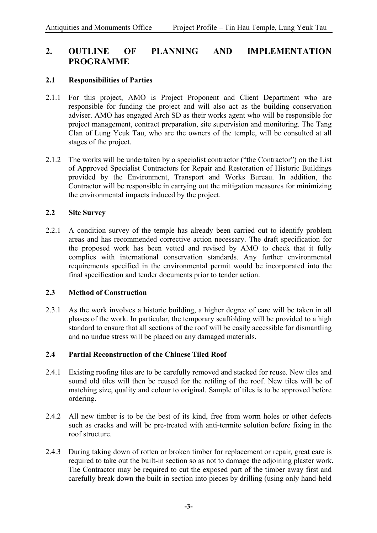## **2. OUTLINE OF PLANNING AND IMPLEMENTATION PROGRAMME**

#### **2.1 Responsibilities of Parties**

- 2.1.1 For this project, AMO is Project Proponent and Client Department who are responsible for funding the project and will also act as the building conservation adviser. AMO has engaged Arch SD as their works agent who will be responsible for project management, contract preparation, site supervision and monitoring. The Tang Clan of Lung Yeuk Tau, who are the owners of the temple, will be consulted at all stages of the project.
- 2.1.2 The works will be undertaken by a specialist contractor ("the Contractor") on the List of Approved Specialist Contractors for Repair and Restoration of Historic Buildings provided by the Environment, Transport and Works Bureau. In addition, the Contractor will be responsible in carrying out the mitigation measures for minimizing the environmental impacts induced by the project.

#### **2.2 Site Survey**

2.2.1 A condition survey of the temple has already been carried out to identify problem areas and has recommended corrective action necessary. The draft specification for the proposed work has been vetted and revised by AMO to check that it fully complies with international conservation standards. Any further environmental requirements specified in the environmental permit would be incorporated into the final specification and tender documents prior to tender action.

#### **2.3 Method of Construction**

2.3.1 As the work involves a historic building, a higher degree of care will be taken in all phases of the work. In particular, the temporary scaffolding will be provided to a high standard to ensure that all sections of the roof will be easily accessible for dismantling and no undue stress will be placed on any damaged materials.

#### **2.4 Partial Reconstruction of the Chinese Tiled Roof**

- 2.4.1 Existing roofing tiles are to be carefully removed and stacked for reuse. New tiles and sound old tiles will then be reused for the retiling of the roof. New tiles will be of matching size, quality and colour to original. Sample of tiles is to be approved before ordering.
- 2.4.2 All new timber is to be the best of its kind, free from worm holes or other defects such as cracks and will be pre-treated with anti-termite solution before fixing in the roof structure.
- 2.4.3 During taking down of rotten or broken timber for replacement or repair, great care is required to take out the built-in section so as not to damage the adjoining plaster work. The Contractor may be required to cut the exposed part of the timber away first and carefully break down the built-in section into pieces by drilling (using only hand-held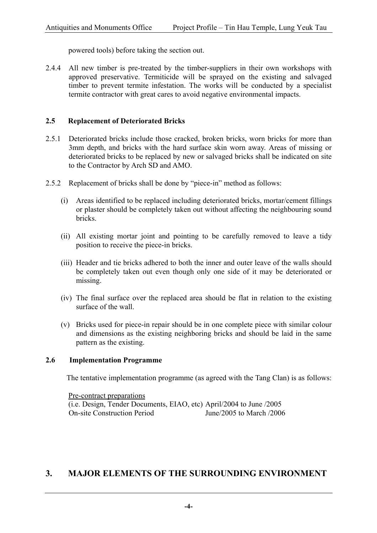powered tools) before taking the section out.

2.4.4 All new timber is pre-treated by the timber-suppliers in their own workshops with approved preservative. Termiticide will be sprayed on the existing and salvaged timber to prevent termite infestation. The works will be conducted by a specialist termite contractor with great cares to avoid negative environmental impacts.

#### **2.5 Replacement of Deteriorated Bricks**

- 2.5.1 Deteriorated bricks include those cracked, broken bricks, worn bricks for more than 3mm depth, and bricks with the hard surface skin worn away. Areas of missing or deteriorated bricks to be replaced by new or salvaged bricks shall be indicated on site to the Contractor by Arch SD and AMO.
- 2.5.2 Replacement of bricks shall be done by "piece-in" method as follows:
	- (i) Areas identified to be replaced including deteriorated bricks, mortar/cement fillings or plaster should be completely taken out without affecting the neighbouring sound bricks.
	- (ii) All existing mortar joint and pointing to be carefully removed to leave a tidy position to receive the piece-in bricks.
	- (iii) Header and tie bricks adhered to both the inner and outer leave of the walls should be completely taken out even though only one side of it may be deteriorated or missing.
	- (iv) The final surface over the replaced area should be flat in relation to the existing surface of the wall.
	- (v) Bricks used for piece-in repair should be in one complete piece with similar colour and dimensions as the existing neighboring bricks and should be laid in the same pattern as the existing.

#### **2.6 Implementation Programme**

The tentative implementation programme (as agreed with the Tang Clan) is as follows:

Pre-contract preparations (i.e. Design, Tender Documents, EIAO, etc) April/2004 to June /2005 On-site Construction Period June/2005 to March /2006

## **3. MAJOR ELEMENTS OF THE SURROUNDING ENVIRONMENT**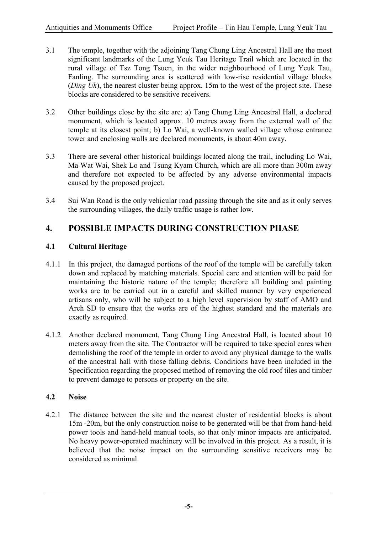- 3.1 The temple, together with the adjoining Tang Chung Ling Ancestral Hall are the most significant landmarks of the Lung Yeuk Tau Heritage Trail which are located in the rural village of Tsz Tong Tsuen, in the wider neighbourhood of Lung Yeuk Tau, Fanling. The surrounding area is scattered with low-rise residential village blocks (*Ding Uk*), the nearest cluster being approx. 15m to the west of the project site. These blocks are considered to be sensitive receivers.
- 3.2 Other buildings close by the site are: a) Tang Chung Ling Ancestral Hall, a declared monument, which is located approx. 10 metres away from the external wall of the temple at its closest point; b) Lo Wai, a well-known walled village whose entrance tower and enclosing walls are declared monuments, is about 40m away.
- 3.3 There are several other historical buildings located along the trail, including Lo Wai, Ma Wat Wai, Shek Lo and Tsung Kyam Church, which are all more than 300m away and therefore not expected to be affected by any adverse environmental impacts caused by the proposed project.
- 3.4 Sui Wan Road is the only vehicular road passing through the site and as it only serves the surrounding villages, the daily traffic usage is rather low.

## **4. POSSIBLE IMPACTS DURING CONSTRUCTION PHASE**

#### **4.1 Cultural Heritage**

- 4.1.1 In this project, the damaged portions of the roof of the temple will be carefully taken down and replaced by matching materials. Special care and attention will be paid for maintaining the historic nature of the temple; therefore all building and painting works are to be carried out in a careful and skilled manner by very experienced artisans only, who will be subject to a high level supervision by staff of AMO and Arch SD to ensure that the works are of the highest standard and the materials are exactly as required.
- 4.1.2 Another declared monument, Tang Chung Ling Ancestral Hall, is located about 10 meters away from the site. The Contractor will be required to take special cares when demolishing the roof of the temple in order to avoid any physical damage to the walls of the ancestral hall with those falling debris. Conditions have been included in the Specification regarding the proposed method of removing the old roof tiles and timber to prevent damage to persons or property on the site.

#### **4.2 Noise**

4.2.1 The distance between the site and the nearest cluster of residential blocks is about 15m -20m, but the only construction noise to be generated will be that from hand-held power tools and hand-held manual tools, so that only minor impacts are anticipated. No heavy power-operated machinery will be involved in this project. As a result, it is believed that the noise impact on the surrounding sensitive receivers may be considered as minimal.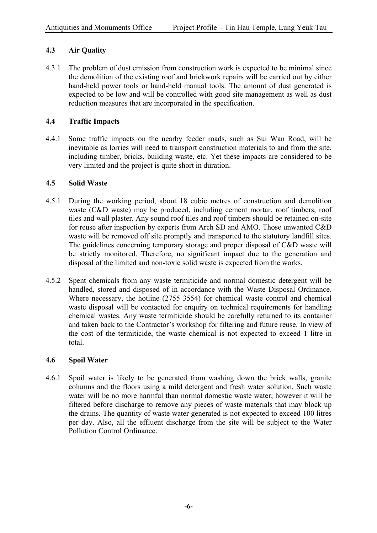#### **4.3 Air Quality**

4.3.1 The problem of dust emission from construction work is expected to be minimal since the demolition of the existing roof and brickwork repairs will be carried out by either hand-held power tools or hand-held manual tools. The amount of dust generated is expected to be low and will be controlled with good site management as well as dust reduction measures that are incorporated in the specification.

#### **4.4 Traffic Impacts**

4.4.1 Some traffic impacts on the nearby feeder roads, such as Sui Wan Road, will be inevitable as lorries will need to transport construction materials to and from the site, including timber, bricks, building waste, etc. Yet these impacts are considered to be very limited and the project is quite short in duration.

#### **4.5 Solid Waste**

- 4.5.1 During the working period, about 18 cubic metres of construction and demolition waste (C&D waste) may be produced, including cement mortar, roof timbers, roof tiles and wall plaster. Any sound roof tiles and roof timbers should be retained on-site for reuse after inspection by experts from Arch SD and AMO. Those unwanted C&D waste will be removed off site promptly and transported to the statutory landfill sites. The guidelines concerning temporary storage and proper disposal of C&D waste will be strictly monitored. Therefore, no significant impact due to the generation and disposal of the limited and non-toxic solid waste is expected from the works.
- 4.5.2 Spent chemicals from any waste termiticide and normal domestic detergent will be handled, stored and disposed of in accordance with the Waste Disposal Ordinance. Where necessary, the hotline (2755 3554) for chemical waste control and chemical waste disposal will be contacted for enquiry on technical requirements for handling chemical wastes. Any waste termiticide should be carefully returned to its container and taken back to the Contractor's workshop for filtering and future reuse. In view of the cost of the termiticide, the waste chemical is not expected to exceed 1 litre in total.

#### **4.6 Spoil Water**

4.6.1 Spoil water is likely to be generated from washing down the brick walls, granite columns and the floors using a mild detergent and fresh water solution. Such waste water will be no more harmful than normal domestic waste water; however it will be filtered before discharge to remove any pieces of waste materials that may block up the drains. The quantity of waste water generated is not expected to exceed 100 litres per day. Also, all the effluent discharge from the site will be subject to the Water Pollution Control Ordinance.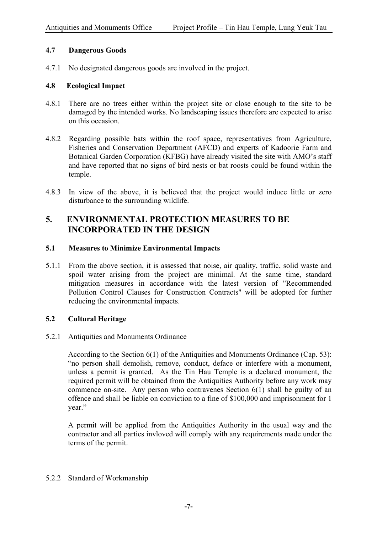#### **4.7 Dangerous Goods**

4.7.1 No designated dangerous goods are involved in the project.

#### **4.8 Ecological Impact**

- 4.8.1 There are no trees either within the project site or close enough to the site to be damaged by the intended works. No landscaping issues therefore are expected to arise on this occasion.
- 4.8.2 Regarding possible bats within the roof space, representatives from Agriculture, Fisheries and Conservation Department (AFCD) and experts of Kadoorie Farm and Botanical Garden Corporation (KFBG) have already visited the site with AMO's staff and have reported that no signs of bird nests or bat roosts could be found within the temple.
- 4.8.3 In view of the above, it is believed that the project would induce little or zero disturbance to the surrounding wildlife.

## **5. ENVIRONMENTAL PROTECTION MEASURES TO BE INCORPORATED IN THE DESIGN**

#### **5.1 Measures to Minimize Environmental Impacts**

5.1.1 From the above section, it is assessed that noise, air quality, traffic, solid waste and spoil water arising from the project are minimal. At the same time, standard mitigation measures in accordance with the latest version of "Recommended Pollution Control Clauses for Construction Contracts" will be adopted for further reducing the environmental impacts.

#### **5.2 Cultural Heritage**

#### 5.2.1 Antiquities and Monuments Ordinance

According to the Section 6(1) of the Antiquities and Monuments Ordinance (Cap. 53): "no person shall demolish, remove, conduct, deface or interfere with a monument, unless a permit is granted. As the Tin Hau Temple is a declared monument, the required permit will be obtained from the Antiquities Authority before any work may commence on-site. Any person who contravenes Section 6(1) shall be guilty of an offence and shall be liable on conviction to a fine of \$100,000 and imprisonment for 1 year."

A permit will be applied from the Antiquities Authority in the usual way and the contractor and all parties invloved will comply with any requirements made under the terms of the permit.

#### 5.2.2 Standard of Workmanship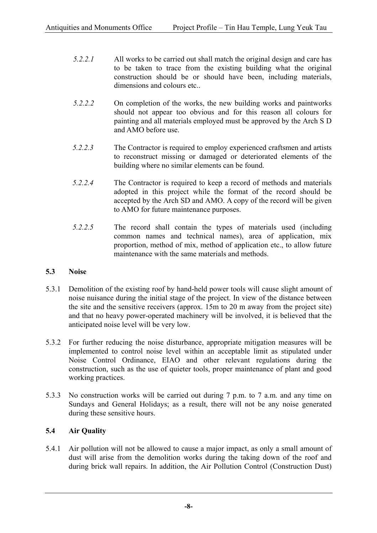- *5.2.2.1* All works to be carried out shall match the original design and care has to be taken to trace from the existing building what the original construction should be or should have been, including materials, dimensions and colours etc..
- *5.2.2.2* On completion of the works, the new building works and paintworks should not appear too obvious and for this reason all colours for painting and all materials employed must be approved by the Arch S D and AMO before use.
- *5.2.2.3* The Contractor is required to employ experienced craftsmen and artists to reconstruct missing or damaged or deteriorated elements of the building where no similar elements can be found.
- *5.2.2.4* The Contractor is required to keep a record of methods and materials adopted in this project while the format of the record should be accepted by the Arch SD and AMO. A copy of the record will be given to AMO for future maintenance purposes.
- *5.2.2.5* The record shall contain the types of materials used (including common names and technical names), area of application, mix proportion, method of mix, method of application etc., to allow future maintenance with the same materials and methods.

#### **5.3 Noise**

- 5.3.1 Demolition of the existing roof by hand-held power tools will cause slight amount of noise nuisance during the initial stage of the project. In view of the distance between the site and the sensitive receivers (approx. 15m to 20 m away from the project site) and that no heavy power-operated machinery will be involved, it is believed that the anticipated noise level will be very low.
- 5.3.2 For further reducing the noise disturbance, appropriate mitigation measures will be implemented to control noise level within an acceptable limit as stipulated under Noise Control Ordinance, EIAO and other relevant regulations during the construction, such as the use of quieter tools, proper maintenance of plant and good working practices.
- 5.3.3 No construction works will be carried out during 7 p.m. to 7 a.m. and any time on Sundays and General Holidays; as a result, there will not be any noise generated during these sensitive hours.

## **5.4 Air Quality**

5.4.1 Air pollution will not be allowed to cause a major impact, as only a small amount of dust will arise from the demolition works during the taking down of the roof and during brick wall repairs. In addition, the Air Pollution Control (Construction Dust)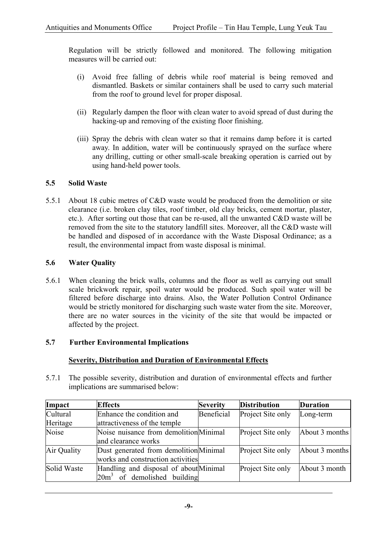Regulation will be strictly followed and monitored. The following mitigation measures will be carried out:

- (i) Avoid free falling of debris while roof material is being removed and dismantled. Baskets or similar containers shall be used to carry such material from the roof to ground level for proper disposal.
- (ii) Regularly dampen the floor with clean water to avoid spread of dust during the hacking-up and removing of the existing floor finishing.
- (iii) Spray the debris with clean water so that it remains damp before it is carted away. In addition, water will be continuously sprayed on the surface where any drilling, cutting or other small-scale breaking operation is carried out by using hand-held power tools.

#### **5.5 Solid Waste**

5.5.1 About 18 cubic metres of C&D waste would be produced from the demolition or site clearance (i.e. broken clay tiles, roof timber, old clay bricks, cement mortar, plaster, etc.). After sorting out those that can be re-used, all the unwanted C&D waste will be removed from the site to the statutory landfill sites. Moreover, all the C&D waste will be handled and disposed of in accordance with the Waste Disposal Ordinance; as a result, the environmental impact from waste disposal is minimal.

#### **5.6 Water Quality**

5.6.1 When cleaning the brick walls, columns and the floor as well as carrying out small scale brickwork repair, spoil water would be produced. Such spoil water will be filtered before discharge into drains. Also, the Water Pollution Control Ordinance would be strictly monitored for discharging such waste water from the site. Moreover, there are no water sources in the vicinity of the site that would be impacted or affected by the project.

#### **5.7 Further Environmental Implications**

#### **Severity, Distribution and Duration of Environmental Effects**

5.7.1 The possible severity, distribution and duration of environmental effects and further implications are summarised below:

| Impact      | <b>Effects</b>                         | <b>Severity</b> | <b>Distribution</b> | <b>Duration</b> |
|-------------|----------------------------------------|-----------------|---------------------|-----------------|
| Cultural    | Enhance the condition and              | Beneficial      | Project Site only   | Long-term       |
| Heritage    | attractiveness of the temple           |                 |                     |                 |
| Noise       | Noise nuisance from demolition Minimal |                 | Project Site only   | About 3 months  |
|             | and clearance works                    |                 |                     |                 |
| Air Quality | Dust generated from demolition Minimal |                 | Project Site only   | About 3 months  |
|             | works and construction activities      |                 |                     |                 |
| Solid Waste | Handling and disposal of about Minimal |                 | Project Site only   | About 3 month   |
|             | $20m3$ of demolished building          |                 |                     |                 |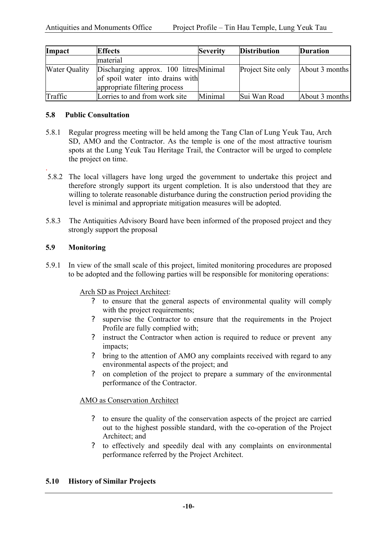| Impact               | <b>Effects</b>                                                                                             | <b>Severity</b> | <b>Distribution</b> | <b>Duration</b> |
|----------------------|------------------------------------------------------------------------------------------------------------|-----------------|---------------------|-----------------|
|                      | material                                                                                                   |                 |                     |                 |
| <b>Water Quality</b> | Discharging approx. 100 litres Minimal<br>of spoil water into drains with<br>appropriate filtering process |                 | Project Site only   | About 3 months  |
| Traffic              | Lorries to and from work site                                                                              | Minimal         | Sui Wan Road        | About 3 months  |

#### **5.8 Public Consultation**

- 5.8.1 Regular progress meeting will be held among the Tang Clan of Lung Yeuk Tau, Arch SD, AMO and the Contractor. As the temple is one of the most attractive tourism spots at the Lung Yeuk Tau Heritage Trail, the Contractor will be urged to complete the project on time.
- . 5.8.2 The local villagers have long urged the government to undertake this project and therefore strongly support its urgent completion. It is also understood that they are willing to tolerate reasonable disturbance during the construction period providing the level is minimal and appropriate mitigation measures will be adopted.
- 5.8.3 The Antiquities Advisory Board have been informed of the proposed project and they strongly support the proposal

#### **5.9 Monitoring**

5.9.1 In view of the small scale of this project, limited monitoring procedures are proposed to be adopted and the following parties will be responsible for monitoring operations:

#### Arch SD as Project Architect:

- ? to ensure that the general aspects of environmental quality will comply with the project requirements:
- ? supervise the Contractor to ensure that the requirements in the Project Profile are fully complied with;
- ? instruct the Contractor when action is required to reduce or prevent any impacts;
- ? bring to the attention of AMO any complaints received with regard to any environmental aspects of the project; and
- ? on completion of the project to prepare a summary of the environmental performance of the Contractor.

#### AMO as Conservation Architect

- ? to ensure the quality of the conservation aspects of the project are carried out to the highest possible standard, with the co-operation of the Project Architect; and
- ? to effectively and speedily deal with any complaints on environmental performance referred by the Project Architect.

#### **5.10 History of Similar Projects**